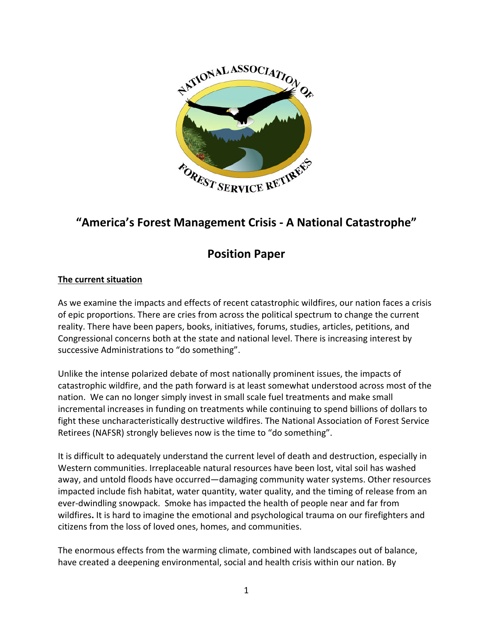

# **"America's Forest Management Crisis - A National Catastrophe"**

## **Position Paper**

### **The current situation**

As we examine the impacts and effects of recent catastrophic wildfires, our nation faces a crisis of epic proportions. There are cries from across the political spectrum to change the current reality. There have been papers, books, initiatives, forums, studies, articles, petitions, and Congressional concerns both at the state and national level. There is increasing interest by successive Administrations to "do something".

Unlike the intense polarized debate of most nationally prominent issues, the impacts of catastrophic wildfire, and the path forward is at least somewhat understood across most of the nation. We can no longer simply invest in small scale fuel treatments and make small incremental increases in funding on treatments while continuing to spend billions of dollars to fight these uncharacteristically destructive wildfires. The National Association of Forest Service Retirees (NAFSR) strongly believes now is the time to "do something".

It is difficult to adequately understand the current level of death and destruction, especially in Western communities. Irreplaceable natural resources have been lost, vital soil has washed away, and untold floods have occurred—damaging community water systems. Other resources impacted include fish habitat, water quantity, water quality, and the timing of release from an ever-dwindling snowpack. Smoke has impacted the health of people near and far from wildfires**.** It is hard to imagine the emotional and psychological trauma on our firefighters and citizens from the loss of loved ones, homes, and communities.

The enormous effects from the warming climate, combined with landscapes out of balance, have created a deepening environmental, social and health crisis within our nation. By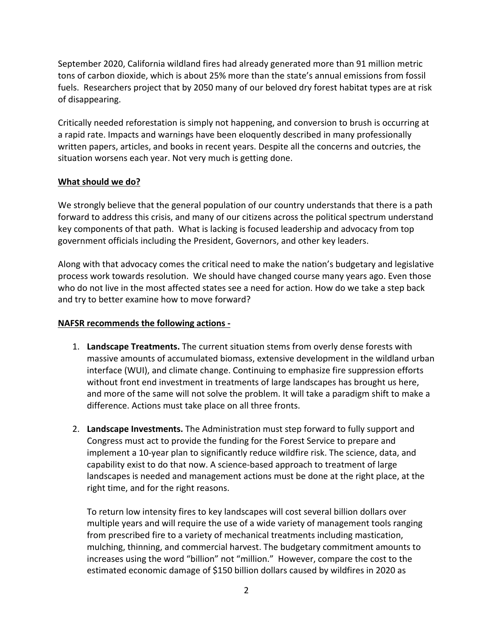September 2020, California wildland fires had already generated more than 91 million metric tons of carbon dioxide, which is about 25% more than the state's annual emissions from fossil fuels. Researchers project that by 2050 many of our beloved dry forest habitat types are at risk of disappearing.

Critically needed reforestation is simply not happening, and conversion to brush is occurring at a rapid rate. Impacts and warnings have been eloquently described in many professionally written papers, articles, and books in recent years. Despite all the concerns and outcries, the situation worsens each year. Not very much is getting done.

#### **What should we do?**

We strongly believe that the general population of our country understands that there is a path forward to address this crisis, and many of our citizens across the political spectrum understand key components of that path. What is lacking is focused leadership and advocacy from top government officials including the President, Governors, and other key leaders.

Along with that advocacy comes the critical need to make the nation's budgetary and legislative process work towards resolution. We should have changed course many years ago. Even those who do not live in the most affected states see a need for action. How do we take a step back and try to better examine how to move forward?

#### **NAFSR recommends the following actions -**

- 1. **Landscape Treatments.** The current situation stems from overly dense forests with massive amounts of accumulated biomass, extensive development in the wildland urban interface (WUI), and climate change. Continuing to emphasize fire suppression efforts without front end investment in treatments of large landscapes has brought us here, and more of the same will not solve the problem. It will take a paradigm shift to make a difference. Actions must take place on all three fronts.
- 2. **Landscape Investments.** The Administration must step forward to fully support and Congress must act to provide the funding for the Forest Service to prepare and implement a 10-year plan to significantly reduce wildfire risk. The science, data, and capability exist to do that now. A science-based approach to treatment of large landscapes is needed and management actions must be done at the right place, at the right time, and for the right reasons.

To return low intensity fires to key landscapes will cost several billion dollars over multiple years and will require the use of a wide variety of management tools ranging from prescribed fire to a variety of mechanical treatments including mastication, mulching, thinning, and commercial harvest. The budgetary commitment amounts to increases using the word "billion" not "million." However, compare the cost to the estimated economic damage of \$150 billion dollars caused by wildfires in 2020 as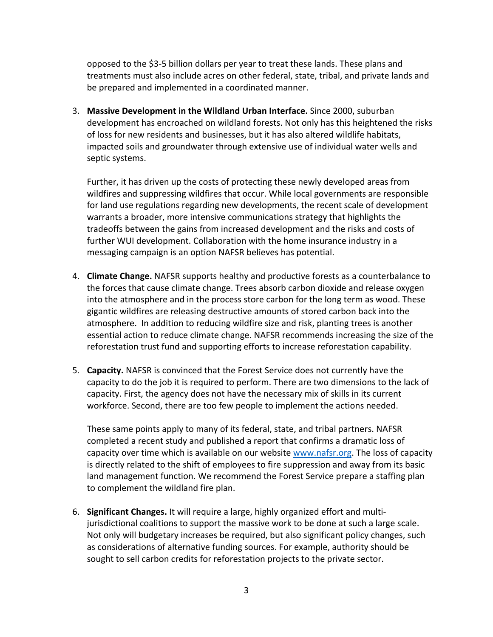opposed to the \$3-5 billion dollars per year to treat these lands. These plans and treatments must also include acres on other federal, state, tribal, and private lands and be prepared and implemented in a coordinated manner.

3. **Massive Development in the Wildland Urban Interface.** Since 2000, suburban development has encroached on wildland forests. Not only has this heightened the risks of loss for new residents and businesses, but it has also altered wildlife habitats, impacted soils and groundwater through extensive use of individual water wells and septic systems.

Further, it has driven up the costs of protecting these newly developed areas from wildfires and suppressing wildfires that occur. While local governments are responsible for land use regulations regarding new developments, the recent scale of development warrants a broader, more intensive communications strategy that highlights the tradeoffs between the gains from increased development and the risks and costs of further WUI development. Collaboration with the home insurance industry in a messaging campaign is an option NAFSR believes has potential.

- 4. **Climate Change.** NAFSR supports healthy and productive forests as a counterbalance to the forces that cause climate change. Trees absorb carbon dioxide and release oxygen into the atmosphere and in the process store carbon for the long term as wood. These gigantic wildfires are releasing destructive amounts of stored carbon back into the atmosphere. In addition to reducing wildfire size and risk, planting trees is another essential action to reduce climate change. NAFSR recommends increasing the size of the reforestation trust fund and supporting efforts to increase reforestation capability.
- 5. **Capacity.** NAFSR is convinced that the Forest Service does not currently have the capacity to do the job it is required to perform. There are two dimensions to the lack of capacity. First, the agency does not have the necessary mix of skills in its current workforce. Second, there are too few people to implement the actions needed.

These same points apply to many of its federal, state, and tribal partners. NAFSR completed a recent study and published a report that confirms a dramatic loss of capacity over time which is available on our website [www.nafsr.org.](about:blank) The loss of capacity is directly related to the shift of employees to fire suppression and away from its basic land management function. We recommend the Forest Service prepare a staffing plan to complement the wildland fire plan.

6. **Significant Changes.** It will require a large, highly organized effort and multijurisdictional coalitions to support the massive work to be done at such a large scale. Not only will budgetary increases be required, but also significant policy changes, such as considerations of alternative funding sources. For example, authority should be sought to sell carbon credits for reforestation projects to the private sector.